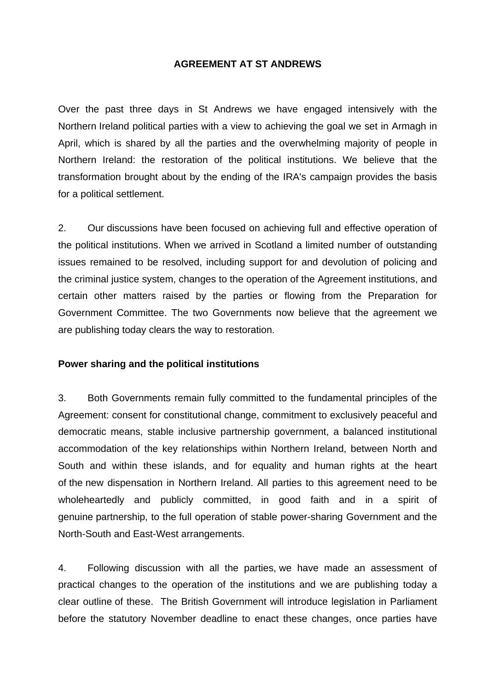# **AGREEMENT AT ST ANDREWS**

Over the past three days in St Andrews we have engaged intensively with the Northern Ireland political parties with a view to achieving the goal we set in Armagh in April, which is shared by all the parties and the overwhelming majority of people in Northern Ireland: the restoration of the political institutions. We believe that the transformation brought about by the ending of the IRA's campaign provides the basis for a political settlement.

2. Our discussions have been focused on achieving full and effective operation of the political institutions. When we arrived in Scotland a limited number of outstanding issues remained to be resolved, including support for and devolution of policing and the criminal justice system, changes to the operation of the Agreement institutions, and certain other matters raised by the parties or flowing from the Preparation for Government Committee. The two Governments now believe that the agreement we are publishing today clears the way to restoration.

### **Power sharing and the political institutions**

3. Both Governments remain fully committed to the fundamental principles of the Agreement: consent for constitutional change, commitment to exclusively peaceful and democratic means, stable inclusive partnership government, a balanced institutional accommodation of the key relationships within Northern Ireland, between North and South and within these islands, and for equality and human rights at the heart of the new dispensation in Northern Ireland. All parties to this agreement need to be wholeheartedly and publicly committed, in good faith and in a spirit of genuine partnership, to the full operation of stable power-sharing Government and the North-South and East-West arrangements.

4. Following discussion with all the parties, we have made an assessment of practical changes to the operation of the institutions and we are publishing today a clear outline of these. The British Government will introduce legislation in Parliament before the statutory November deadline to enact these changes, once parties have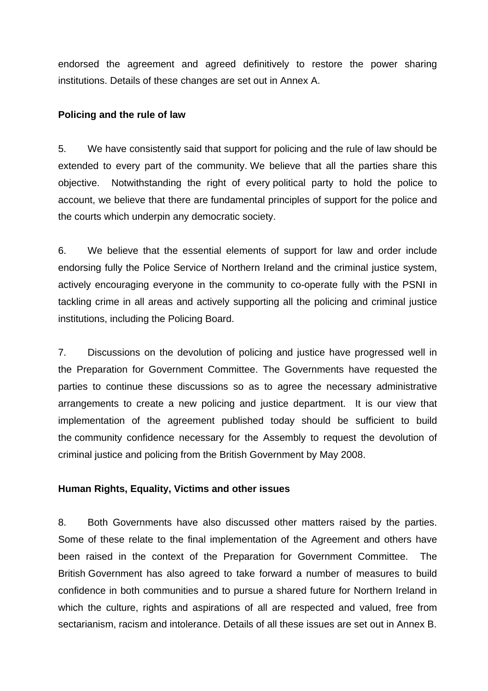endorsed the agreement and agreed definitively to restore the power sharing institutions. Details of these changes are set out in Annex A.

# **Policing and the rule of law**

5. We have consistently said that support for policing and the rule of law should be extended to every part of the community. We believe that all the parties share this objective. Notwithstanding the right of every political party to hold the police to account, we believe that there are fundamental principles of support for the police and the courts which underpin any democratic society.

6. We believe that the essential elements of support for law and order include endorsing fully the Police Service of Northern Ireland and the criminal justice system, actively encouraging everyone in the community to co-operate fully with the PSNI in tackling crime in all areas and actively supporting all the policing and criminal justice institutions, including the Policing Board.

7. Discussions on the devolution of policing and justice have progressed well in the Preparation for Government Committee. The Governments have requested the parties to continue these discussions so as to agree the necessary administrative arrangements to create a new policing and justice department. It is our view that implementation of the agreement published today should be sufficient to build the community confidence necessary for the Assembly to request the devolution of criminal justice and policing from the British Government by May 2008.

# **Human Rights, Equality, Victims and other issues**

8. Both Governments have also discussed other matters raised by the parties. Some of these relate to the final implementation of the Agreement and others have been raised in the context of the Preparation for Government Committee. The British Government has also agreed to take forward a number of measures to build confidence in both communities and to pursue a shared future for Northern Ireland in which the culture, rights and aspirations of all are respected and valued, free from sectarianism, racism and intolerance. Details of all these issues are set out in Annex B.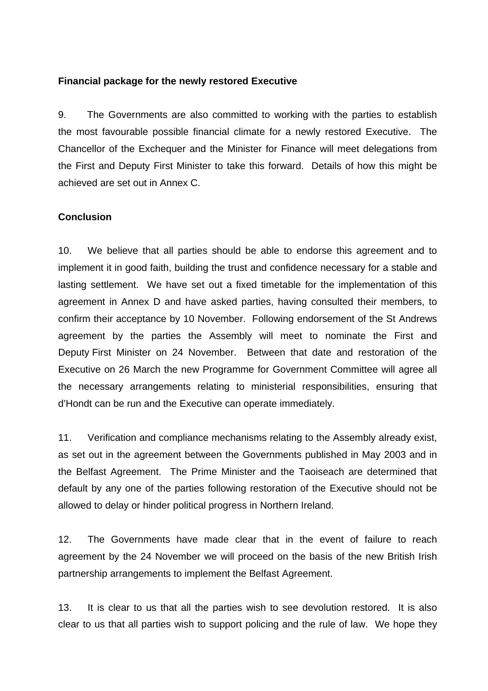# **Financial package for the newly restored Executive**

9. The Governments are also committed to working with the parties to establish the most favourable possible financial climate for a newly restored Executive. The Chancellor of the Exchequer and the Minister for Finance will meet delegations from the First and Deputy First Minister to take this forward. Details of how this might be achieved are set out in Annex C.

# **Conclusion**

10. We believe that all parties should be able to endorse this agreement and to implement it in good faith, building the trust and confidence necessary for a stable and lasting settlement. We have set out a fixed timetable for the implementation of this agreement in Annex D and have asked parties, having consulted their members, to confirm their acceptance by 10 November. Following endorsement of the St Andrews agreement by the parties the Assembly will meet to nominate the First and Deputy First Minister on 24 November. Between that date and restoration of the Executive on 26 March the new Programme for Government Committee will agree all the necessary arrangements relating to ministerial responsibilities, ensuring that d'Hondt can be run and the Executive can operate immediately.

11. Verification and compliance mechanisms relating to the Assembly already exist, as set out in the agreement between the Governments published in May 2003 and in the Belfast Agreement. The Prime Minister and the Taoiseach are determined that default by any one of the parties following restoration of the Executive should not be allowed to delay or hinder political progress in Northern Ireland.

12. The Governments have made clear that in the event of failure to reach agreement by the 24 November we will proceed on the basis of the new British Irish partnership arrangements to implement the Belfast Agreement.

13. It is clear to us that all the parties wish to see devolution restored. It is also clear to us that all parties wish to support policing and the rule of law. We hope they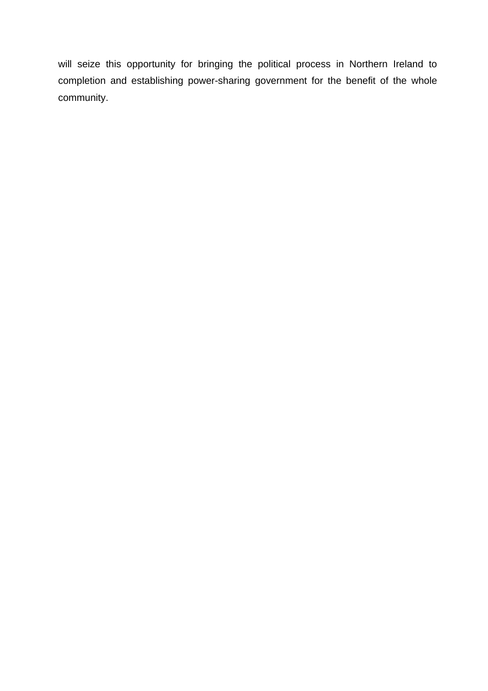will seize this opportunity for bringing the political process in Northern Ireland to completion and establishing power-sharing government for the benefit of the whole community.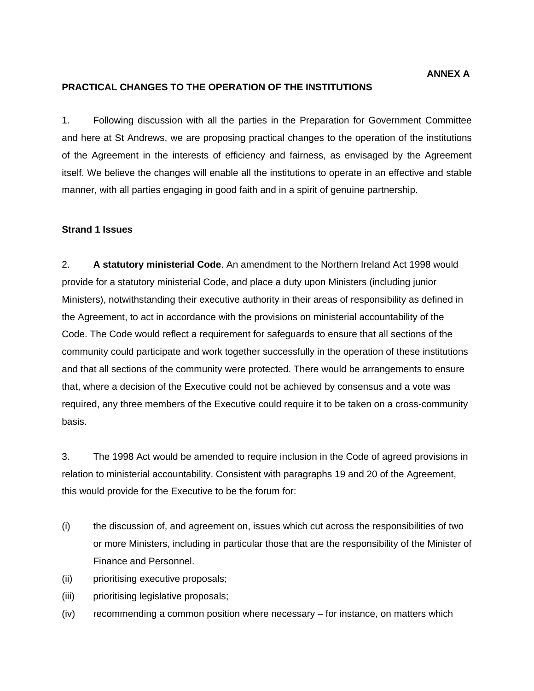### **PRACTICAL CHANGES TO THE OPERATION OF THE INSTITUTIONS**

1. Following discussion with all the parties in the Preparation for Government Committee and here at St Andrews, we are proposing practical changes to the operation of the institutions of the Agreement in the interests of efficiency and fairness, as envisaged by the Agreement itself. We believe the changes will enable all the institutions to operate in an effective and stable manner, with all parties engaging in good faith and in a spirit of genuine partnership.

#### **Strand 1 Issues**

2. **A statutory ministerial Code**. An amendment to the Northern Ireland Act 1998 would provide for a statutory ministerial Code, and place a duty upon Ministers (including junior Ministers), notwithstanding their executive authority in their areas of responsibility as defined in the Agreement, to act in accordance with the provisions on ministerial accountability of the Code. The Code would reflect a requirement for safeguards to ensure that all sections of the community could participate and work together successfully in the operation of these institutions and that all sections of the community were protected. There would be arrangements to ensure that, where a decision of the Executive could not be achieved by consensus and a vote was required, any three members of the Executive could require it to be taken on a cross-community basis.

3. The 1998 Act would be amended to require inclusion in the Code of agreed provisions in relation to ministerial accountability. Consistent with paragraphs 19 and 20 of the Agreement, this would provide for the Executive to be the forum for:

- (i) the discussion of, and agreement on, issues which cut across the responsibilities of two or more Ministers, including in particular those that are the responsibility of the Minister of Finance and Personnel.
- (ii) prioritising executive proposals;
- (iii) prioritising legislative proposals;
- (iv) recommending a common position where necessary for instance, on matters which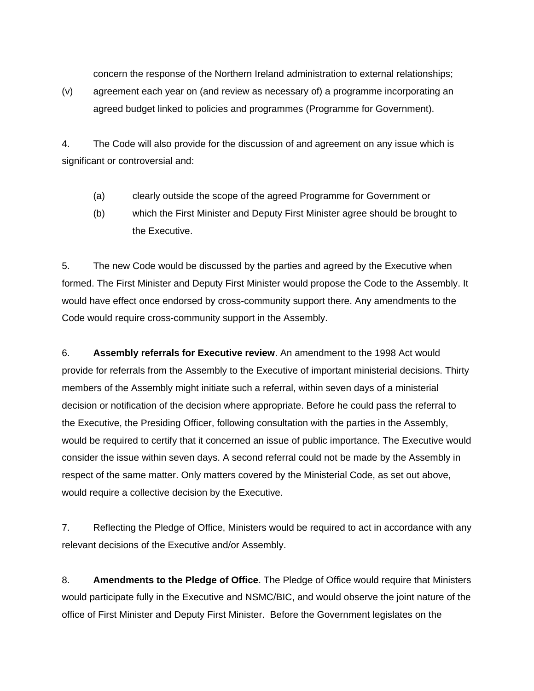concern the response of the Northern Ireland administration to external relationships;

(v) agreement each year on (and review as necessary of) a programme incorporating an agreed budget linked to policies and programmes (Programme for Government).

4. The Code will also provide for the discussion of and agreement on any issue which is significant or controversial and:

- (a) clearly outside the scope of the agreed Programme for Government or
- (b) which the First Minister and Deputy First Minister agree should be brought to the Executive.

5. The new Code would be discussed by the parties and agreed by the Executive when formed. The First Minister and Deputy First Minister would propose the Code to the Assembly. It would have effect once endorsed by cross-community support there. Any amendments to the Code would require cross-community support in the Assembly.

6. **Assembly referrals for Executive review**. An amendment to the 1998 Act would provide for referrals from the Assembly to the Executive of important ministerial decisions. Thirty members of the Assembly might initiate such a referral, within seven days of a ministerial decision or notification of the decision where appropriate. Before he could pass the referral to the Executive, the Presiding Officer, following consultation with the parties in the Assembly, would be required to certify that it concerned an issue of public importance. The Executive would consider the issue within seven days. A second referral could not be made by the Assembly in respect of the same matter. Only matters covered by the Ministerial Code, as set out above, would require a collective decision by the Executive.

7. Reflecting the Pledge of Office, Ministers would be required to act in accordance with any relevant decisions of the Executive and/or Assembly.

8. **Amendments to the Pledge of Office**. The Pledge of Office would require that Ministers would participate fully in the Executive and NSMC/BIC, and would observe the joint nature of the office of First Minister and Deputy First Minister. Before the Government legislates on the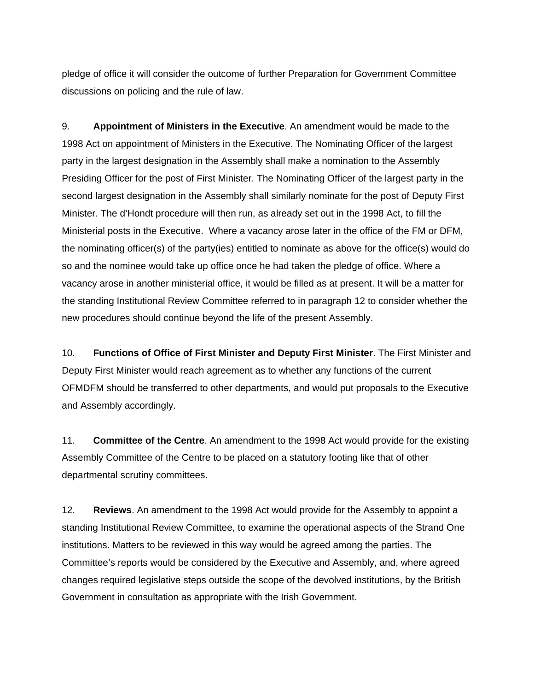pledge of office it will consider the outcome of further Preparation for Government Committee discussions on policing and the rule of law.

9. **Appointment of Ministers in the Executive**. An amendment would be made to the 1998 Act on appointment of Ministers in the Executive. The Nominating Officer of the largest party in the largest designation in the Assembly shall make a nomination to the Assembly Presiding Officer for the post of First Minister. The Nominating Officer of the largest party in the second largest designation in the Assembly shall similarly nominate for the post of Deputy First Minister. The d'Hondt procedure will then run, as already set out in the 1998 Act, to fill the Ministerial posts in the Executive. Where a vacancy arose later in the office of the FM or DFM, the nominating officer(s) of the party(ies) entitled to nominate as above for the office(s) would do so and the nominee would take up office once he had taken the pledge of office. Where a vacancy arose in another ministerial office, it would be filled as at present. It will be a matter for the standing Institutional Review Committee referred to in paragraph 12 to consider whether the new procedures should continue beyond the life of the present Assembly.

10. **Functions of Office of First Minister and Deputy First Minister**. The First Minister and Deputy First Minister would reach agreement as to whether any functions of the current OFMDFM should be transferred to other departments, and would put proposals to the Executive and Assembly accordingly.

11. **Committee of the Centre**. An amendment to the 1998 Act would provide for the existing Assembly Committee of the Centre to be placed on a statutory footing like that of other departmental scrutiny committees.

12. **Reviews**. An amendment to the 1998 Act would provide for the Assembly to appoint a standing Institutional Review Committee, to examine the operational aspects of the Strand One institutions. Matters to be reviewed in this way would be agreed among the parties. The Committee's reports would be considered by the Executive and Assembly, and, where agreed changes required legislative steps outside the scope of the devolved institutions, by the British Government in consultation as appropriate with the Irish Government.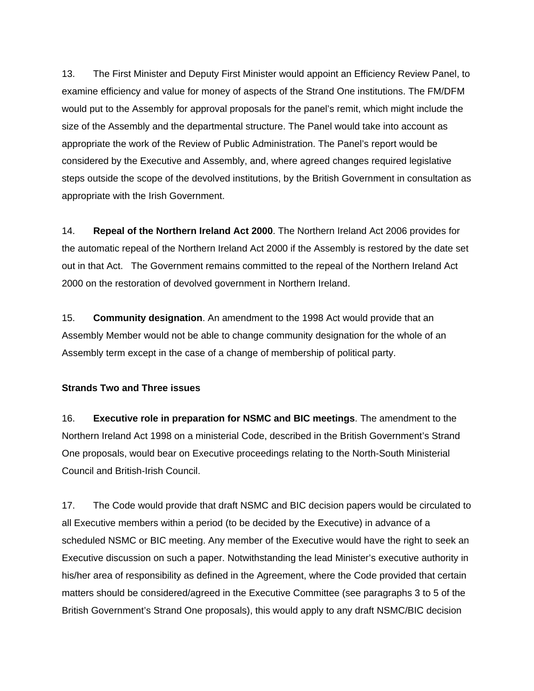13. The First Minister and Deputy First Minister would appoint an Efficiency Review Panel, to examine efficiency and value for money of aspects of the Strand One institutions. The FM/DFM would put to the Assembly for approval proposals for the panel's remit, which might include the size of the Assembly and the departmental structure. The Panel would take into account as appropriate the work of the Review of Public Administration. The Panel's report would be considered by the Executive and Assembly, and, where agreed changes required legislative steps outside the scope of the devolved institutions, by the British Government in consultation as appropriate with the Irish Government.

14. **Repeal of the Northern Ireland Act 2000**. The Northern Ireland Act 2006 provides for the automatic repeal of the Northern Ireland Act 2000 if the Assembly is restored by the date set out in that Act. The Government remains committed to the repeal of the Northern Ireland Act 2000 on the restoration of devolved government in Northern Ireland.

15. **Community designation**. An amendment to the 1998 Act would provide that an Assembly Member would not be able to change community designation for the whole of an Assembly term except in the case of a change of membership of political party.

#### **Strands Two and Three issues**

16. **Executive role in preparation for NSMC and BIC meetings**. The amendment to the Northern Ireland Act 1998 on a ministerial Code, described in the British Government's Strand One proposals, would bear on Executive proceedings relating to the North-South Ministerial Council and British-Irish Council.

17. The Code would provide that draft NSMC and BIC decision papers would be circulated to all Executive members within a period (to be decided by the Executive) in advance of a scheduled NSMC or BIC meeting. Any member of the Executive would have the right to seek an Executive discussion on such a paper. Notwithstanding the lead Minister's executive authority in his/her area of responsibility as defined in the Agreement, where the Code provided that certain matters should be considered/agreed in the Executive Committee (see paragraphs 3 to 5 of the British Government's Strand One proposals), this would apply to any draft NSMC/BIC decision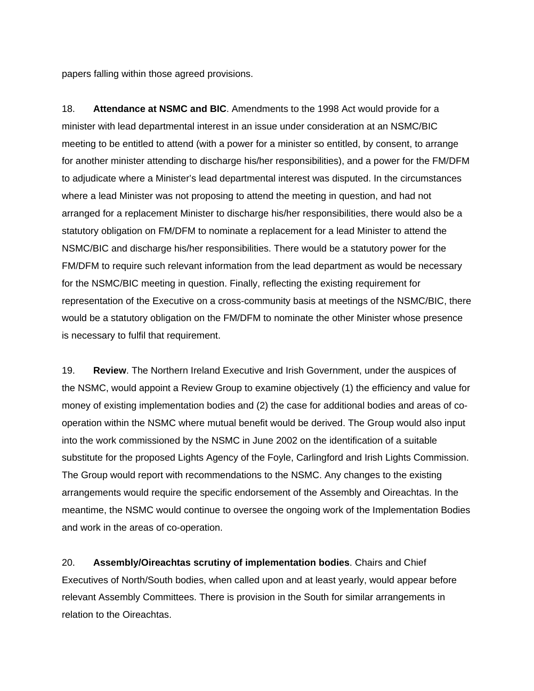papers falling within those agreed provisions.

18. **Attendance at NSMC and BIC**. Amendments to the 1998 Act would provide for a minister with lead departmental interest in an issue under consideration at an NSMC/BIC meeting to be entitled to attend (with a power for a minister so entitled, by consent, to arrange for another minister attending to discharge his/her responsibilities), and a power for the FM/DFM to adjudicate where a Minister's lead departmental interest was disputed. In the circumstances where a lead Minister was not proposing to attend the meeting in question, and had not arranged for a replacement Minister to discharge his/her responsibilities, there would also be a statutory obligation on FM/DFM to nominate a replacement for a lead Minister to attend the NSMC/BIC and discharge his/her responsibilities. There would be a statutory power for the FM/DFM to require such relevant information from the lead department as would be necessary for the NSMC/BIC meeting in question. Finally, reflecting the existing requirement for representation of the Executive on a cross-community basis at meetings of the NSMC/BIC, there would be a statutory obligation on the FM/DFM to nominate the other Minister whose presence is necessary to fulfil that requirement.

19. **Review**. The Northern Ireland Executive and Irish Government, under the auspices of the NSMC, would appoint a Review Group to examine objectively (1) the efficiency and value for money of existing implementation bodies and (2) the case for additional bodies and areas of cooperation within the NSMC where mutual benefit would be derived. The Group would also input into the work commissioned by the NSMC in June 2002 on the identification of a suitable substitute for the proposed Lights Agency of the Foyle, Carlingford and Irish Lights Commission. The Group would report with recommendations to the NSMC. Any changes to the existing arrangements would require the specific endorsement of the Assembly and Oireachtas. In the meantime, the NSMC would continue to oversee the ongoing work of the Implementation Bodies and work in the areas of co-operation.

20. **Assembly/Oireachtas scrutiny of implementation bodies**. Chairs and Chief Executives of North/South bodies, when called upon and at least yearly, would appear before relevant Assembly Committees. There is provision in the South for similar arrangements in relation to the Oireachtas.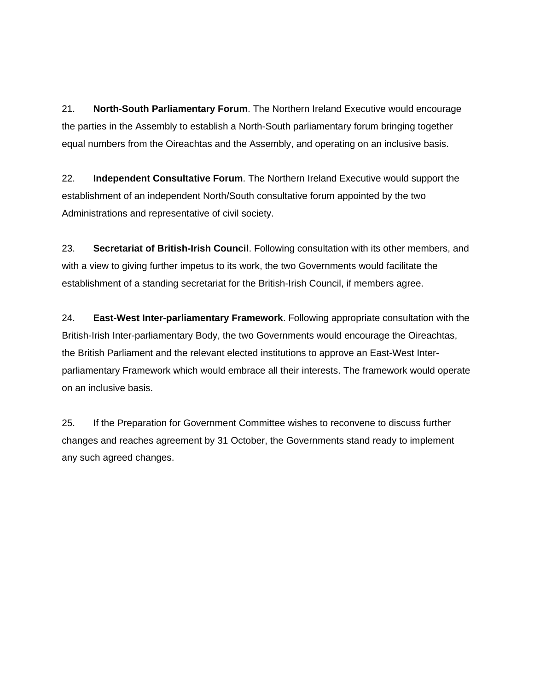21. **North-South Parliamentary Forum**. The Northern Ireland Executive would encourage the parties in the Assembly to establish a North-South parliamentary forum bringing together equal numbers from the Oireachtas and the Assembly, and operating on an inclusive basis.

22. **Independent Consultative Forum**. The Northern Ireland Executive would support the establishment of an independent North/South consultative forum appointed by the two Administrations and representative of civil society.

23. **Secretariat of British-Irish Council**. Following consultation with its other members, and with a view to giving further impetus to its work, the two Governments would facilitate the establishment of a standing secretariat for the British-Irish Council, if members agree.

24. **East-West Inter-parliamentary Framework**. Following appropriate consultation with the British-Irish Inter-parliamentary Body, the two Governments would encourage the Oireachtas, the British Parliament and the relevant elected institutions to approve an East-West Interparliamentary Framework which would embrace all their interests. The framework would operate on an inclusive basis.

25. If the Preparation for Government Committee wishes to reconvene to discuss further changes and reaches agreement by 31 October, the Governments stand ready to implement any such agreed changes.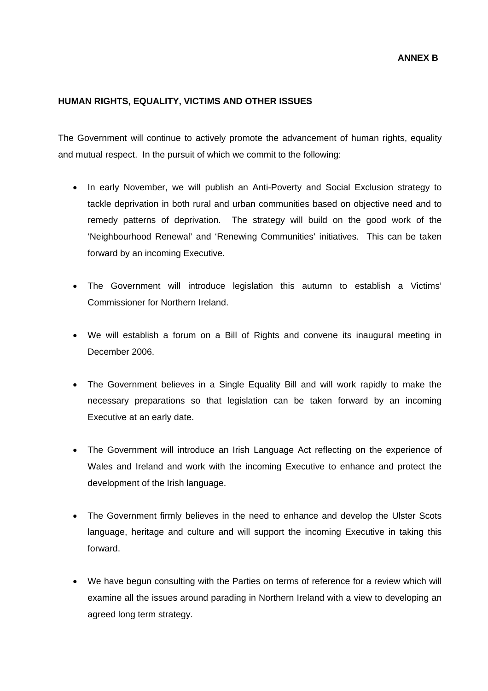### **HUMAN RIGHTS, EQUALITY, VICTIMS AND OTHER ISSUES**

The Government will continue to actively promote the advancement of human rights, equality and mutual respect. In the pursuit of which we commit to the following:

- In early November, we will publish an Anti-Poverty and Social Exclusion strategy to tackle deprivation in both rural and urban communities based on objective need and to remedy patterns of deprivation. The strategy will build on the good work of the 'Neighbourhood Renewal' and 'Renewing Communities' initiatives. This can be taken forward by an incoming Executive.
- The Government will introduce legislation this autumn to establish a Victims' Commissioner for Northern Ireland.
- We will establish a forum on a Bill of Rights and convene its inaugural meeting in December 2006.
- The Government believes in a Single Equality Bill and will work rapidly to make the necessary preparations so that legislation can be taken forward by an incoming Executive at an early date.
- The Government will introduce an Irish Language Act reflecting on the experience of Wales and Ireland and work with the incoming Executive to enhance and protect the development of the Irish language.
- The Government firmly believes in the need to enhance and develop the Ulster Scots language, heritage and culture and will support the incoming Executive in taking this forward.
- We have begun consulting with the Parties on terms of reference for a review which will examine all the issues around parading in Northern Ireland with a view to developing an agreed long term strategy.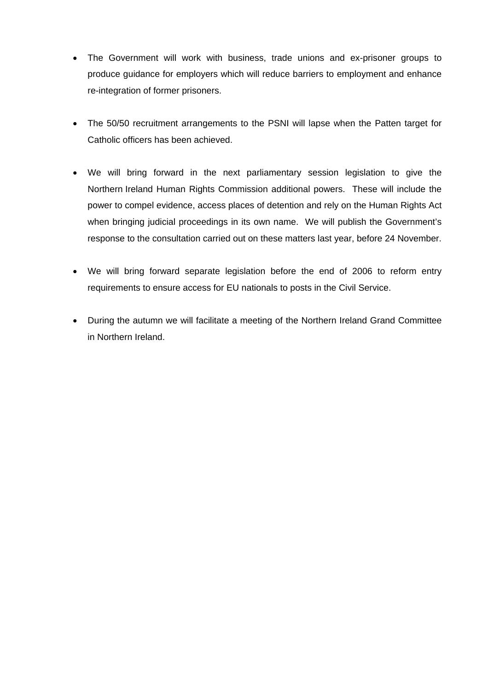- The Government will work with business, trade unions and ex-prisoner groups to produce guidance for employers which will reduce barriers to employment and enhance re-integration of former prisoners.
- The 50/50 recruitment arrangements to the PSNI will lapse when the Patten target for Catholic officers has been achieved.
- We will bring forward in the next parliamentary session legislation to give the Northern Ireland Human Rights Commission additional powers. These will include the power to compel evidence, access places of detention and rely on the Human Rights Act when bringing judicial proceedings in its own name. We will publish the Government's response to the consultation carried out on these matters last year, before 24 November.
- We will bring forward separate legislation before the end of 2006 to reform entry requirements to ensure access for EU nationals to posts in the Civil Service.
- During the autumn we will facilitate a meeting of the Northern Ireland Grand Committee in Northern Ireland.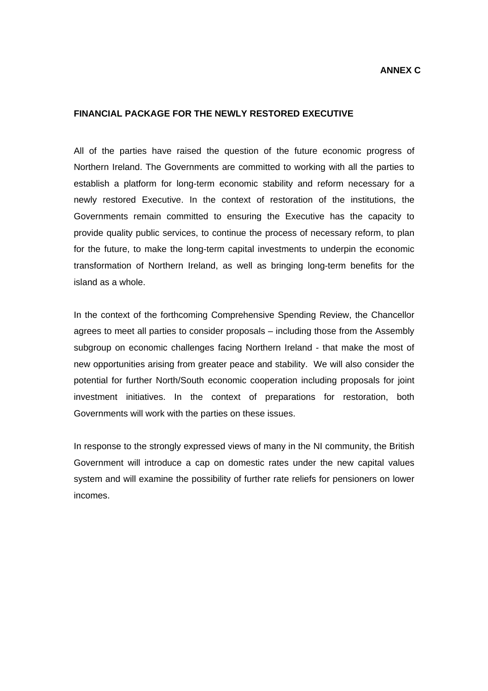### **ANNEX C**

### **FINANCIAL PACKAGE FOR THE NEWLY RESTORED EXECUTIVE**

All of the parties have raised the question of the future economic progress of Northern Ireland. The Governments are committed to working with all the parties to establish a platform for long-term economic stability and reform necessary for a newly restored Executive. In the context of restoration of the institutions, the Governments remain committed to ensuring the Executive has the capacity to provide quality public services, to continue the process of necessary reform, to plan for the future, to make the long-term capital investments to underpin the economic transformation of Northern Ireland, as well as bringing long-term benefits for the island as a whole.

In the context of the forthcoming Comprehensive Spending Review, the Chancellor agrees to meet all parties to consider proposals – including those from the Assembly subgroup on economic challenges facing Northern Ireland - that make the most of new opportunities arising from greater peace and stability. We will also consider the potential for further North/South economic cooperation including proposals for joint investment initiatives. In the context of preparations for restoration, both Governments will work with the parties on these issues.

In response to the strongly expressed views of many in the NI community, the British Government will introduce a cap on domestic rates under the new capital values system and will examine the possibility of further rate reliefs for pensioners on lower incomes.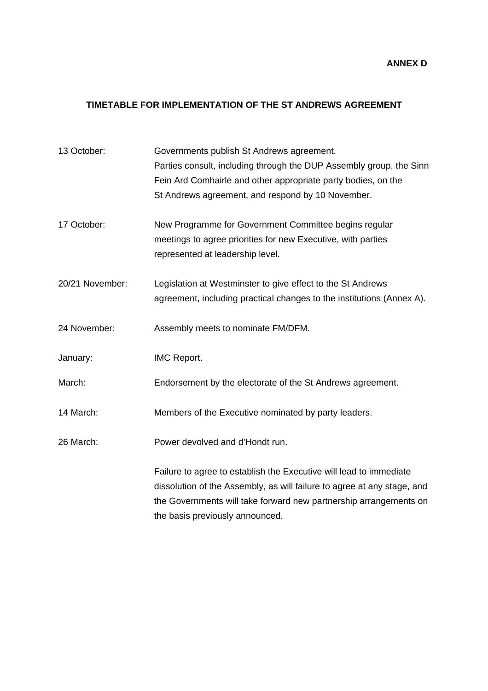### **ANNEX D**

# **TIMETABLE FOR IMPLEMENTATION OF THE ST ANDREWS AGREEMENT**

| 13 October:     | Governments publish St Andrews agreement.<br>Parties consult, including through the DUP Assembly group, the Sinn<br>Fein Ard Comhairle and other appropriate party bodies, on the<br>St Andrews agreement, and respond by 10 November.                |
|-----------------|-------------------------------------------------------------------------------------------------------------------------------------------------------------------------------------------------------------------------------------------------------|
| 17 October:     | New Programme for Government Committee begins regular<br>meetings to agree priorities for new Executive, with parties<br>represented at leadership level.                                                                                             |
| 20/21 November: | Legislation at Westminster to give effect to the St Andrews<br>agreement, including practical changes to the institutions (Annex A).                                                                                                                  |
| 24 November:    | Assembly meets to nominate FM/DFM.                                                                                                                                                                                                                    |
| January:        | IMC Report.                                                                                                                                                                                                                                           |
| March:          | Endorsement by the electorate of the St Andrews agreement.                                                                                                                                                                                            |
| 14 March:       | Members of the Executive nominated by party leaders.                                                                                                                                                                                                  |
| 26 March:       | Power devolved and d'Hondt run.                                                                                                                                                                                                                       |
|                 | Failure to agree to establish the Executive will lead to immediate<br>dissolution of the Assembly, as will failure to agree at any stage, and<br>the Governments will take forward new partnership arrangements on<br>the basis previously announced. |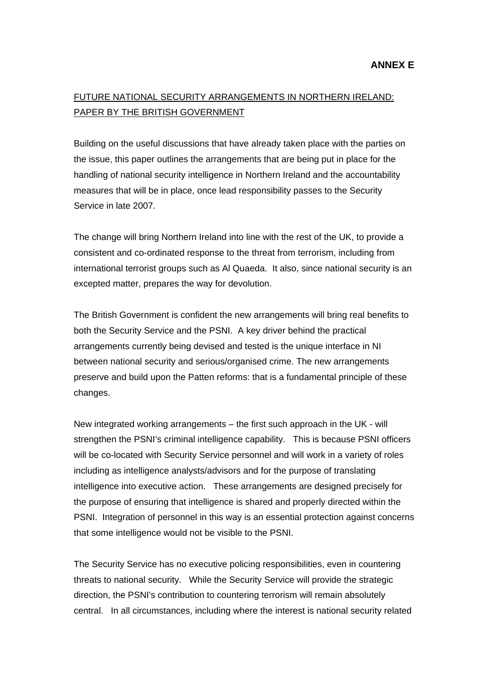# FUTURE NATIONAL SECURITY ARRANGEMENTS IN NORTHERN IRELAND: PAPER BY THE BRITISH GOVERNMENT

Building on the useful discussions that have already taken place with the parties on the issue, this paper outlines the arrangements that are being put in place for the handling of national security intelligence in Northern Ireland and the accountability measures that will be in place, once lead responsibility passes to the Security Service in late 2007.

The change will bring Northern Ireland into line with the rest of the UK, to provide a consistent and co-ordinated response to the threat from terrorism, including from international terrorist groups such as Al Quaeda. It also, since national security is an excepted matter, prepares the way for devolution.

The British Government is confident the new arrangements will bring real benefits to both the Security Service and the PSNI. A key driver behind the practical arrangements currently being devised and tested is the unique interface in NI between national security and serious/organised crime. The new arrangements preserve and build upon the Patten reforms: that is a fundamental principle of these changes.

New integrated working arrangements – the first such approach in the UK - will strengthen the PSNI's criminal intelligence capability. This is because PSNI officers will be co-located with Security Service personnel and will work in a variety of roles including as intelligence analysts/advisors and for the purpose of translating intelligence into executive action. These arrangements are designed precisely for the purpose of ensuring that intelligence is shared and properly directed within the PSNI. Integration of personnel in this way is an essential protection against concerns that some intelligence would not be visible to the PSNI.

The Security Service has no executive policing responsibilities, even in countering threats to national security. While the Security Service will provide the strategic direction, the PSNI's contribution to countering terrorism will remain absolutely central. In all circumstances, including where the interest is national security related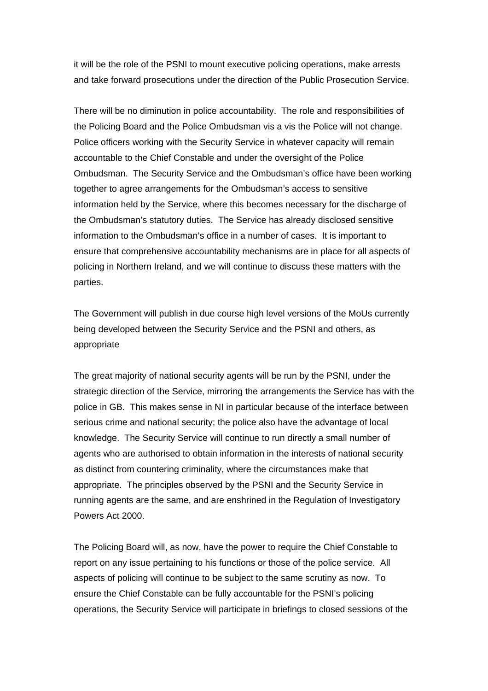it will be the role of the PSNI to mount executive policing operations, make arrests and take forward prosecutions under the direction of the Public Prosecution Service.

There will be no diminution in police accountability. The role and responsibilities of the Policing Board and the Police Ombudsman vis a vis the Police will not change. Police officers working with the Security Service in whatever capacity will remain accountable to the Chief Constable and under the oversight of the Police Ombudsman. The Security Service and the Ombudsman's office have been working together to agree arrangements for the Ombudsman's access to sensitive information held by the Service, where this becomes necessary for the discharge of the Ombudsman's statutory duties. The Service has already disclosed sensitive information to the Ombudsman's office in a number of cases. It is important to ensure that comprehensive accountability mechanisms are in place for all aspects of policing in Northern Ireland, and we will continue to discuss these matters with the parties.

The Government will publish in due course high level versions of the MoUs currently being developed between the Security Service and the PSNI and others, as appropriate

The great majority of national security agents will be run by the PSNI, under the strategic direction of the Service, mirroring the arrangements the Service has with the police in GB. This makes sense in NI in particular because of the interface between serious crime and national security; the police also have the advantage of local knowledge. The Security Service will continue to run directly a small number of agents who are authorised to obtain information in the interests of national security as distinct from countering criminality, where the circumstances make that appropriate. The principles observed by the PSNI and the Security Service in running agents are the same, and are enshrined in the Regulation of Investigatory Powers Act 2000.

The Policing Board will, as now, have the power to require the Chief Constable to report on any issue pertaining to his functions or those of the police service. All aspects of policing will continue to be subject to the same scrutiny as now. To ensure the Chief Constable can be fully accountable for the PSNI's policing operations, the Security Service will participate in briefings to closed sessions of the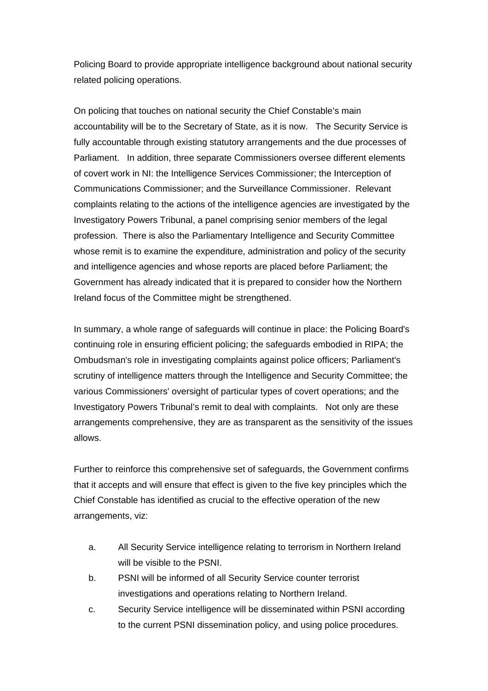Policing Board to provide appropriate intelligence background about national security related policing operations.

On policing that touches on national security the Chief Constable's main accountability will be to the Secretary of State, as it is now. The Security Service is fully accountable through existing statutory arrangements and the due processes of Parliament. In addition, three separate Commissioners oversee different elements of covert work in NI: the Intelligence Services Commissioner; the Interception of Communications Commissioner; and the Surveillance Commissioner. Relevant complaints relating to the actions of the intelligence agencies are investigated by the Investigatory Powers Tribunal, a panel comprising senior members of the legal profession. There is also the Parliamentary Intelligence and Security Committee whose remit is to examine the expenditure, administration and policy of the security and intelligence agencies and whose reports are placed before Parliament; the Government has already indicated that it is prepared to consider how the Northern Ireland focus of the Committee might be strengthened.

In summary, a whole range of safeguards will continue in place: the Policing Board's continuing role in ensuring efficient policing; the safeguards embodied in RIPA; the Ombudsman's role in investigating complaints against police officers; Parliament's scrutiny of intelligence matters through the Intelligence and Security Committee; the various Commissioners' oversight of particular types of covert operations; and the Investigatory Powers Tribunal's remit to deal with complaints. Not only are these arrangements comprehensive, they are as transparent as the sensitivity of the issues allows.

Further to reinforce this comprehensive set of safeguards, the Government confirms that it accepts and will ensure that effect is given to the five key principles which the Chief Constable has identified as crucial to the effective operation of the new arrangements, viz:

- a. All Security Service intelligence relating to terrorism in Northern Ireland will be visible to the PSNI.
- b. PSNI will be informed of all Security Service counter terrorist investigations and operations relating to Northern Ireland.
- c. Security Service intelligence will be disseminated within PSNI according to the current PSNI dissemination policy, and using police procedures.